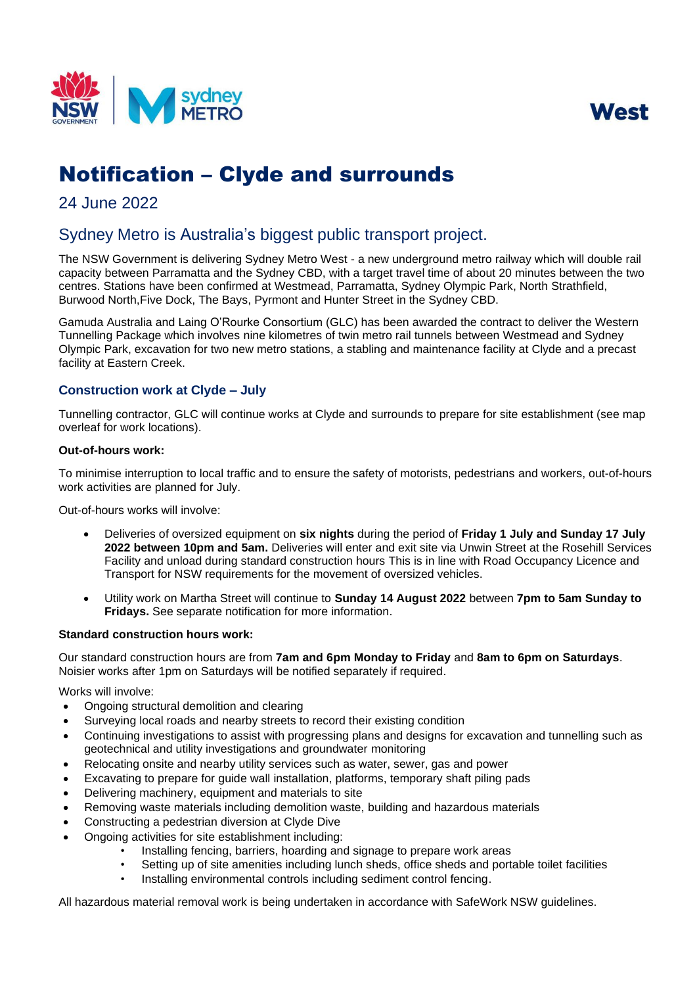



# Notification – Clyde and surrounds

## 24 June 2022

# Sydney Metro is Australia's biggest public transport project.

The NSW Government is delivering Sydney Metro West - a new underground metro railway which will double rail capacity between Parramatta and the Sydney CBD, with a target travel time of about 20 minutes between the two centres. Stations have been confirmed at Westmead, Parramatta, Sydney Olympic Park, North Strathfield, Burwood North,Five Dock, The Bays, Pyrmont and Hunter Street in the Sydney CBD.

 Gamuda Australia and Laing O'Rourke Consortium (GLC) has been awarded the contract to deliver the Western Tunnelling Package which involves nine kilometres of twin metro rail tunnels between Westmead and Sydney Olympic Park, excavation for two new metro stations, a stabling and maintenance facility at Clyde and a precast facility at Eastern Creek.

### **Construction work at Clyde – July**

Tunnelling contractor, GLC will continue works at Clyde and surrounds to prepare for site establishment (see map overleaf for work locations).

#### **Out-of-hours work:**

To minimise interruption to local traffic and to ensure the safety of motorists, pedestrians and workers, out-of-hours work activities are planned for July.

Out-of-hours works will involve:

- Facility and unload during standard construction hours This is in line with Road Occupancy Licence and • Deliveries of oversized equipment on **six nights** during the period of **Friday 1 July and Sunday 17 July 2022 between 10pm and 5am.** Deliveries will enter and exit site via Unwin Street at the Rosehill Services Transport for NSW requirements for the movement of oversized vehicles.
- Utility work on Martha Street will continue to **Sunday 14 August 2022** between **7pm to 5am Sunday to Fridays.** See separate notification for more information.

#### **Standard construction hours work:**

Our standard construction hours are from **7am and 6pm Monday to Friday** and **8am to 6pm on Saturdays**. Noisier works after 1pm on Saturdays will be notified separately if required.

Works will involve:

- Ongoing structural demolition and clearing
- Surveying local roads and nearby streets to record their existing condition
- Continuing investigations to assist with progressing plans and designs for excavation and tunnelling such as geotechnical and utility investigations and groundwater monitoring
- Relocating onsite and nearby utility services such as water, sewer, gas and power
- Excavating to prepare for guide wall installation, platforms, temporary shaft piling pads
- Delivering machinery, equipment and materials to site
- Removing waste materials including demolition waste, building and hazardous materials
- Constructing a pedestrian diversion at Clyde Dive
- Ongoing activities for site establishment including:
	- Installing fencing, barriers, hoarding and signage to prepare work areas
	- Setting up of site amenities including lunch sheds, office sheds and portable toilet facilities
	- Installing environmental controls including sediment control fencing.

All hazardous material removal work is being undertaken in accordance with SafeWork NSW guidelines.